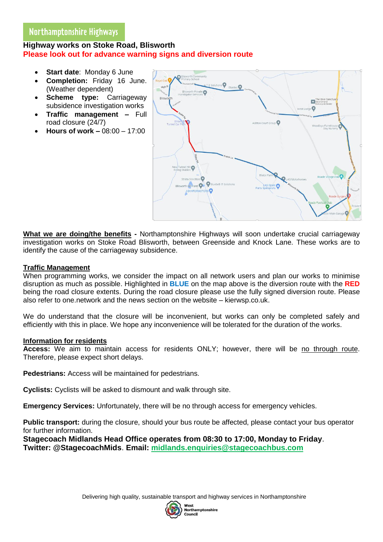### $\overline{\phantom{a}}$ **Highway works on Stoke Road, Blisworth Please look out for advance warning signs and diversion route**

- **Start date**: Monday 6 June
- **Completion:** Friday 16 June. (Weather dependent)
- **Scheme type:** Carriageway subsidence investigation works
- **Traffic management –** Full road closure (24/7)
- **Hours of work –** 08:00 17:00



**What we are doing/the benefits -** Northamptonshire Highways will soon undertake crucial carriageway investigation works on Stoke Road Blisworth, between Greenside and Knock Lane. These works are to identify the cause of the carriageway subsidence.

# **Traffic Management**

When programming works, we consider the impact on all network users and plan our works to minimise disruption as much as possible. Highlighted in **BLUE** on the map above is the diversion route with the **RED** being the road closure extents. During the road closure please use the fully signed diversion route. Please also refer to one.network and the news section on the website – kierwsp.co.uk.

We do understand that the closure will be inconvenient, but works can only be completed safely and efficiently with this in place. We hope any inconvenience will be tolerated for the duration of the works.

## **Information for residents**

**Access:** We aim to maintain access for residents ONLY; however, there will be no through route. Therefore, please expect short delays.

**Pedestrians:** Access will be maintained for pedestrians.

**Cyclists:** Cyclists will be asked to dismount and walk through site.

**Emergency Services:** Unfortunately, there will be no through access for emergency vehicles.

**Public transport:** during the closure, should your bus route be affected, please contact your bus operator for further information.

**Stagecoach Midlands Head Office operates from 08:30 to 17:00, Monday to Friday**. **Twitter: @StagecoachMids**. **Email: [midlands.enquiries@stagecoachbus.com](mailto:midlands.enquiries@stagecoachbus.com)**